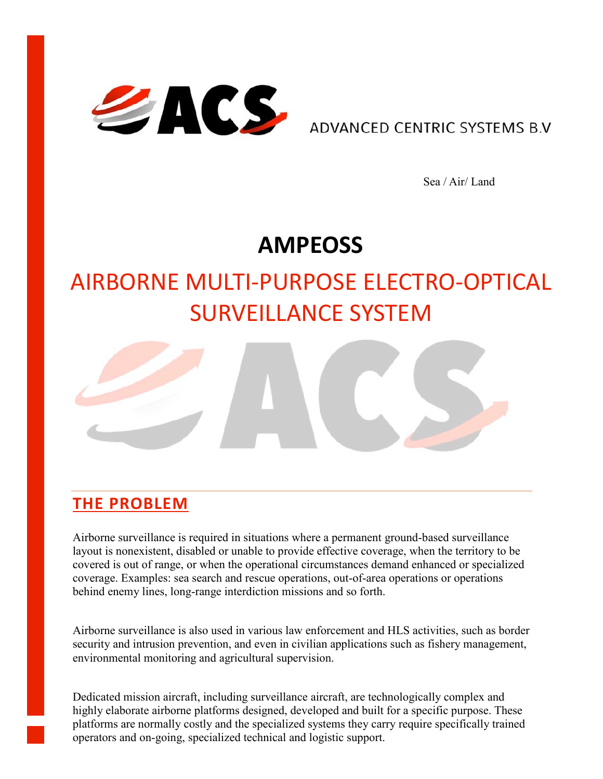

ADVANCED CENTRIC SYSTEMS B.V

Sea / Air/ Land

## **AMPEOSS**

# AIRBORNE MULTI-PURPOSE ELECTRO-OPTICAL SURVEILLANCE SYSTEM



#### **THE PROBLEM**

Airborne surveillance is required in situations where a permanent ground-based surveillance layout is nonexistent, disabled or unable to provide effective coverage, when the territory to be covered is out of range, or when the operational circumstances demand enhanced or specialized coverage. Examples: sea search and rescue operations, out-of-area operations or operations behind enemy lines, long-range interdiction missions and so forth.

Airborne surveillance is also used in various law enforcement and HLS activities, such as border security and intrusion prevention, and even in civilian applications such as fishery management, environmental monitoring and agricultural supervision.

Dedicated mission aircraft, including surveillance aircraft, are technologically complex and highly elaborate airborne platforms designed, developed and built for a specific purpose. These platforms are normally costly and the specialized systems they carry require specifically trained operators and on-going, specialized technical and logistic support.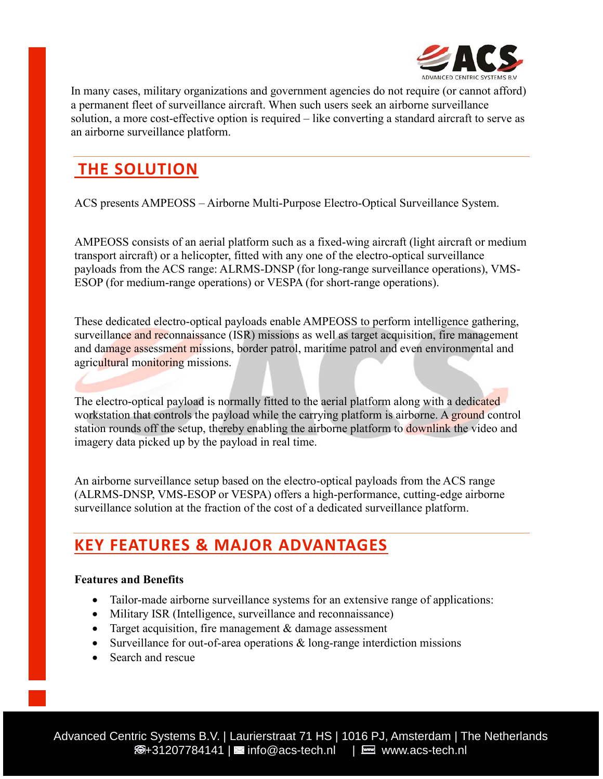

In many cases, military organizations and government agencies do not require (or cannot afford) a permanent fleet of surveillance aircraft. When such users seek an airborne surveillance solution, a more cost-effective option is required – like converting a standard aircraft to serve as an airborne surveillance platform.

### **THE SOLUTION**

ACS presents AMPEOSS – Airborne Multi-Purpose Electro-Optical Surveillance System.

AMPEOSS consists of an aerial platform such as a fixed-wing aircraft (light aircraft or medium transport aircraft) or a helicopter, fitted with any one of the electro-optical surveillance payloads from the ACS range: ALRMS-DNSP (for long-range surveillance operations), VMS-ESOP (for medium-range operations) or VESPA (for short-range operations).

These dedicated electro-optical payloads enable AMPEOSS to perform intelligence gathering, surveillance and reconnaissance (ISR) missions as well as target acquisition, fire management and damage assessment missions, border patrol, maritime patrol and even environmental and agricultural monitoring missions.

The electro-optical payload is normally fitted to the aerial platform along with a dedicated workstation that controls the payload while the carrying platform is airborne. A ground control station rounds off the setup, thereby enabling the airborne platform to downlink the video and imagery data picked up by the payload in real time.

An airborne surveillance setup based on the electro-optical payloads from the ACS range (ALRMS-DNSP, VMS-ESOP or VESPA) offers a high-performance, cutting-edge airborne surveillance solution at the fraction of the cost of a dedicated surveillance platform.

#### **KEY FEATURES & MAJOR ADVANTAGES**

#### **Features and Benefits**

- Tailor-made airborne surveillance systems for an extensive range of applications:
- Military ISR (Intelligence, surveillance and reconnaissance)
- Target acquisition, fire management  $&$  damage assessment
- Surveillance for out-of-area operations & long-range interdiction missions
- Search and rescue